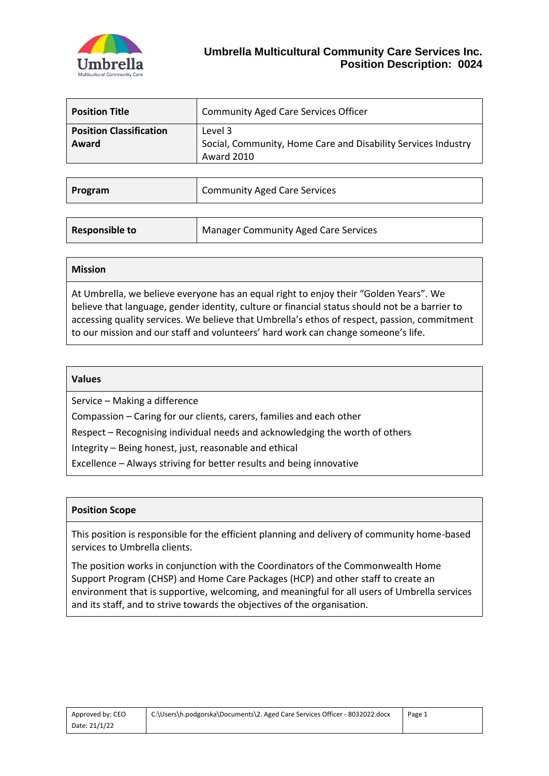

| <b>Position Title</b>                   | <b>Community Aged Care Services Officer</b>                                            |
|-----------------------------------------|----------------------------------------------------------------------------------------|
| <b>Position Classification</b><br>Award | Level 3<br>Social, Community, Home Care and Disability Services Industry<br>Award 2010 |

| Program | <b>Community Aged Care Services</b> |
|---------|-------------------------------------|
|         |                                     |

| <b>Responsible to</b> | Manager Community Aged Care Services |
|-----------------------|--------------------------------------|
|                       |                                      |

#### **Mission**

At Umbrella, we believe everyone has an equal right to enjoy their "Golden Years". We believe that language, gender identity, culture or financial status should not be a barrier to accessing quality services. We believe that Umbrella's ethos of respect, passion, commitment to our mission and our staff and volunteers' hard work can change someone's life.

#### **Values**

Service – Making a difference

Compassion – Caring for our clients, carers, families and each other

Respect – Recognising individual needs and acknowledging the worth of others

Integrity – Being honest, just, reasonable and ethical

Excellence – Always striving for better results and being innovative

## **Position Scope**

This position is responsible for the efficient planning and delivery of community home-based services to Umbrella clients.

The position works in conjunction with the Coordinators of the Commonwealth Home Support Program (CHSP) and Home Care Packages (HCP) and other staff to create an environment that is supportive, welcoming, and meaningful for all users of Umbrella services and its staff, and to strive towards the objectives of the organisation.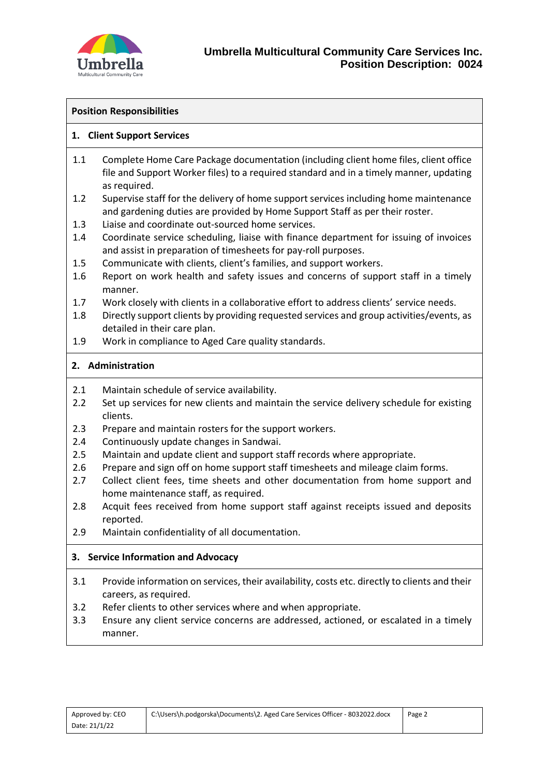

### **Position Responsibilities**

### **1. Client Support Services**

- 1.1 Complete Home Care Package documentation (including client home files, client office file and Support Worker files) to a required standard and in a timely manner, updating as required.
- 1.2 Supervise staff for the delivery of home support services including home maintenance and gardening duties are provided by Home Support Staff as per their roster.
- 1.3 Liaise and coordinate out-sourced home services.
- 1.4 Coordinate service scheduling, liaise with finance department for issuing of invoices and assist in preparation of timesheets for pay-roll purposes.
- 1.5 Communicate with clients, client's families, and support workers.
- 1.6 Report on work health and safety issues and concerns of support staff in a timely manner.
- 1.7 Work closely with clients in a collaborative effort to address clients' service needs.
- 1.8 Directly support clients by providing requested services and group activities/events, as detailed in their care plan.
- 1.9 Work in compliance to Aged Care quality standards.

## **2. Administration**

- 2.1 Maintain schedule of service availability.
- 2.2 Set up services for new clients and maintain the service delivery schedule for existing clients.
- 2.3 Prepare and maintain rosters for the support workers.
- 2.4 Continuously update changes in Sandwai.
- 2.5 Maintain and update client and support staff records where appropriate.
- 2.6 Prepare and sign off on home support staff timesheets and mileage claim forms.
- 2.7 Collect client fees, time sheets and other documentation from home support and home maintenance staff, as required.
- 2.8 Acquit fees received from home support staff against receipts issued and deposits reported.
- 2.9 Maintain confidentiality of all documentation.

## **3. Service Information and Advocacy**

- 3.1 Provide information on services, their availability, costs etc. directly to clients and their careers, as required.
- 3.2 Refer clients to other services where and when appropriate.
- 3.3 Ensure any client service concerns are addressed, actioned, or escalated in a timely manner.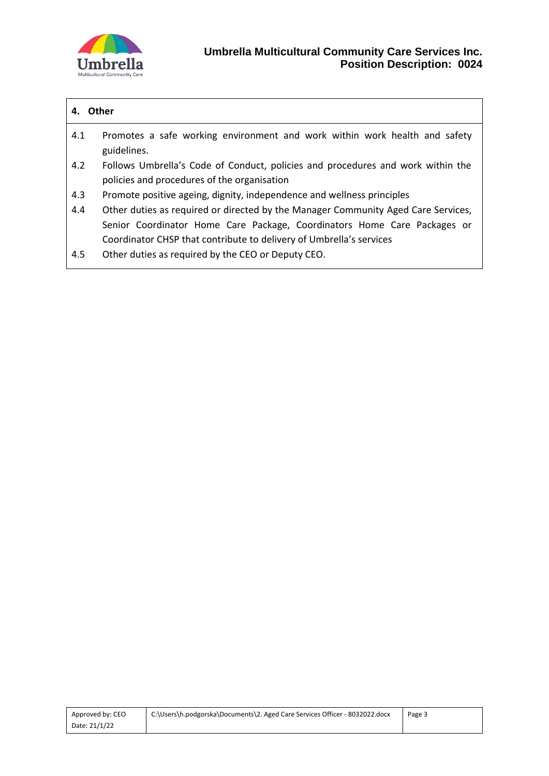

# **4. Other**

- 4.1 Promotes a safe working environment and work within work health and safety guidelines.
- 4.2 Follows Umbrella's Code of Conduct, policies and procedures and work within the policies and procedures of the organisation
- 4.3 Promote positive ageing, dignity, independence and wellness principles
- 4.4 Other duties as required or directed by the Manager Community Aged Care Services, Senior Coordinator Home Care Package, Coordinators Home Care Packages or Coordinator CHSP that contribute to delivery of Umbrella's services
- 4.5 Other duties as required by the CEO or Deputy CEO.